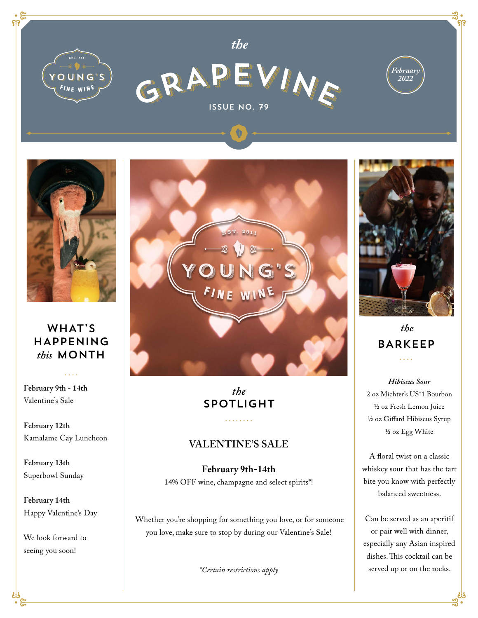



*the*





## WHAT'S HAPPENING *this* MONTH

**February 9th - 14th** Valentine's Sale

**February 12th**  Kamalame Cay Luncheon

**February 13th**  Superbowl Sunday

**February 14th**  Happy Valentine's Day

We look forward to seeing you soon!



*the* SPOTLIGHT

<u>. . . . . . . .</u>

## **VALENTINE'S SALE**

**February 9th-14th**  14% OFF wine, champagne and select spirits\*!

Whether you're shopping for something you love, or for someone you love, make sure to stop by during our Valentine's Sale!

*\*Certain restrictions apply* 



 *the* BARKEEP  $\ldots$ 

*Hibiscus Sour* 2 oz Michter's US\*1 Bourbon ½ oz Fresh Lemon Juice ½ oz Giffard Hibiscus Syrup ½ oz Egg White

A floral twist on a classic whiskey sour that has the tart bite you know with perfectly balanced sweetness.

Can be served as an aperitif or pair well with dinner, especially any Asian inspired dishes. This cocktail can be served up or on the rocks.